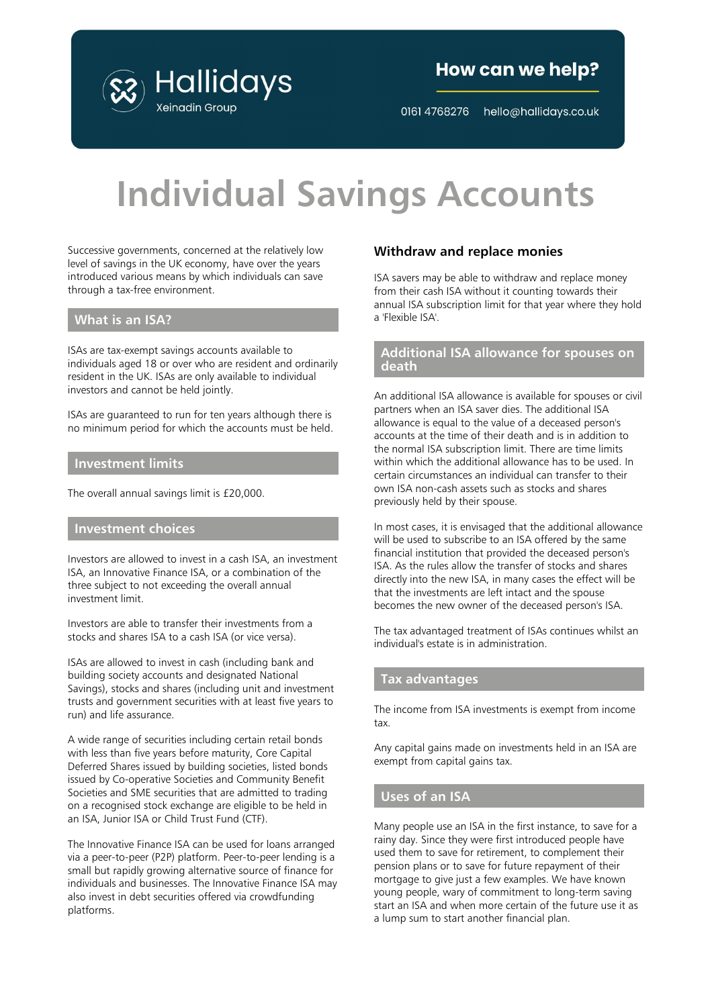

## How can we help?

0161 4768276 hello@hallidays.co.uk

# **Individual Savings Accounts**

Successive governments, concerned at the relatively low level of savings in the UK economy, have over the years introduced various means by which individuals can save through a tax-free environment.

#### **What is an ISA?**

ISAs are tax-exempt savings accounts available to individuals aged 18 or over who are resident and ordinarily resident in the UK. ISAs are only available to individual investors and cannot be held jointly.

ISAs are guaranteed to run for ten years although there is no minimum period for which the accounts must be held.

#### **Investment limits**

The overall annual savings limit is £20,000.

#### **Investment choices**

Investors are allowed to invest in a cash ISA, an investment ISA, an Innovative Finance ISA, or a combination of the three subject to not exceeding the overall annual investment limit.

Investors are able to transfer their investments from a stocks and shares ISA to a cash ISA (or vice versa).

ISAs are allowed to invest in cash (including bank and building society accounts and designated National Savings), stocks and shares (including unit and investment trusts and government securities with at least five years to run) and life assurance.

A wide range of securities including certain retail bonds with less than five years before maturity, Core Capital Deferred Shares issued by building societies, listed bonds issued by Co-operative Societies and Community Benefit Societies and SME securities that are admitted to trading on a recognised stock exchange are eligible to be held in an ISA, Junior ISA or Child Trust Fund (CTF).

The Innovative Finance ISA can be used for loans arranged via a peer-to-peer (P2P) platform. Peer-to-peer lending is a small but rapidly growing alternative source of finance for individuals and businesses. The Innovative Finance ISA may also invest in debt securities offered via crowdfunding platforms.

#### **Withdraw and replace monies**

ISA savers may be able to withdraw and replace money from their cash ISA without it counting towards their annual ISA subscription limit for that year where they hold a 'Flexible ISA'.

#### **Additional ISA allowance for spouses on death**

An additional ISA allowance is available for spouses or civil partners when an ISA saver dies. The additional ISA allowance is equal to the value of a deceased person's accounts at the time of their death and is in addition to the normal ISA subscription limit. There are time limits within which the additional allowance has to be used. In certain circumstances an individual can transfer to their own ISA non-cash assets such as stocks and shares previously held by their spouse.

In most cases, it is envisaged that the additional allowance will be used to subscribe to an ISA offered by the same financial institution that provided the deceased person's ISA. As the rules allow the transfer of stocks and shares directly into the new ISA, in many cases the effect will be that the investments are left intact and the spouse becomes the new owner of the deceased person's ISA.

The tax advantaged treatment of ISAs continues whilst an individual's estate is in administration.

#### **Tax advantages**

The income from ISA investments is exempt from income tax.

Any capital gains made on investments held in an ISA are exempt from capital gains tax.

#### **Uses of an ISA**

Many people use an ISA in the first instance, to save for a rainy day. Since they were first introduced people have used them to save for retirement, to complement their pension plans or to save for future repayment of their mortgage to give just a few examples. We have known young people, wary of commitment to long-term saving start an ISA and when more certain of the future use it as a lump sum to start another financial plan.